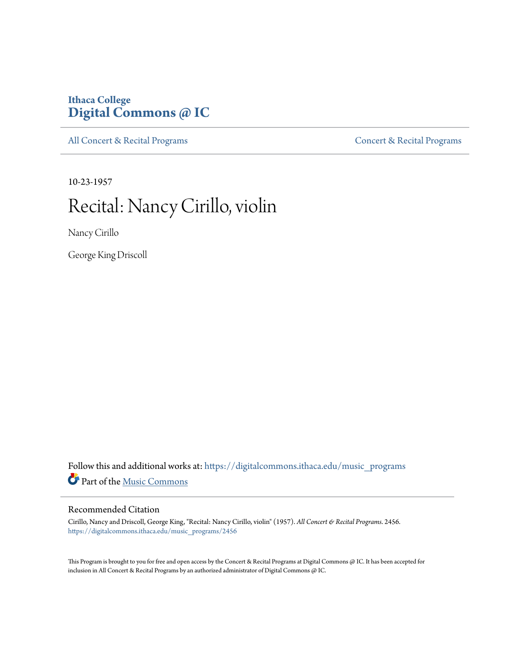### **Ithaca College [Digital Commons @ IC](https://digitalcommons.ithaca.edu?utm_source=digitalcommons.ithaca.edu%2Fmusic_programs%2F2456&utm_medium=PDF&utm_campaign=PDFCoverPages)**

[All Concert & Recital Programs](https://digitalcommons.ithaca.edu/music_programs?utm_source=digitalcommons.ithaca.edu%2Fmusic_programs%2F2456&utm_medium=PDF&utm_campaign=PDFCoverPages) **[Concert & Recital Programs](https://digitalcommons.ithaca.edu/som_programs?utm_source=digitalcommons.ithaca.edu%2Fmusic_programs%2F2456&utm_medium=PDF&utm_campaign=PDFCoverPages)** 

10-23-1957

## Recital: Nancy Cirillo, violin

Nancy Cirillo

George King Driscoll

Follow this and additional works at: [https://digitalcommons.ithaca.edu/music\\_programs](https://digitalcommons.ithaca.edu/music_programs?utm_source=digitalcommons.ithaca.edu%2Fmusic_programs%2F2456&utm_medium=PDF&utm_campaign=PDFCoverPages) Part of the [Music Commons](http://network.bepress.com/hgg/discipline/518?utm_source=digitalcommons.ithaca.edu%2Fmusic_programs%2F2456&utm_medium=PDF&utm_campaign=PDFCoverPages)

#### Recommended Citation

Cirillo, Nancy and Driscoll, George King, "Recital: Nancy Cirillo, violin" (1957). *All Concert & Recital Programs*. 2456. [https://digitalcommons.ithaca.edu/music\\_programs/2456](https://digitalcommons.ithaca.edu/music_programs/2456?utm_source=digitalcommons.ithaca.edu%2Fmusic_programs%2F2456&utm_medium=PDF&utm_campaign=PDFCoverPages)

This Program is brought to you for free and open access by the Concert & Recital Programs at Digital Commons @ IC. It has been accepted for inclusion in All Concert & Recital Programs by an authorized administrator of Digital Commons @ IC.